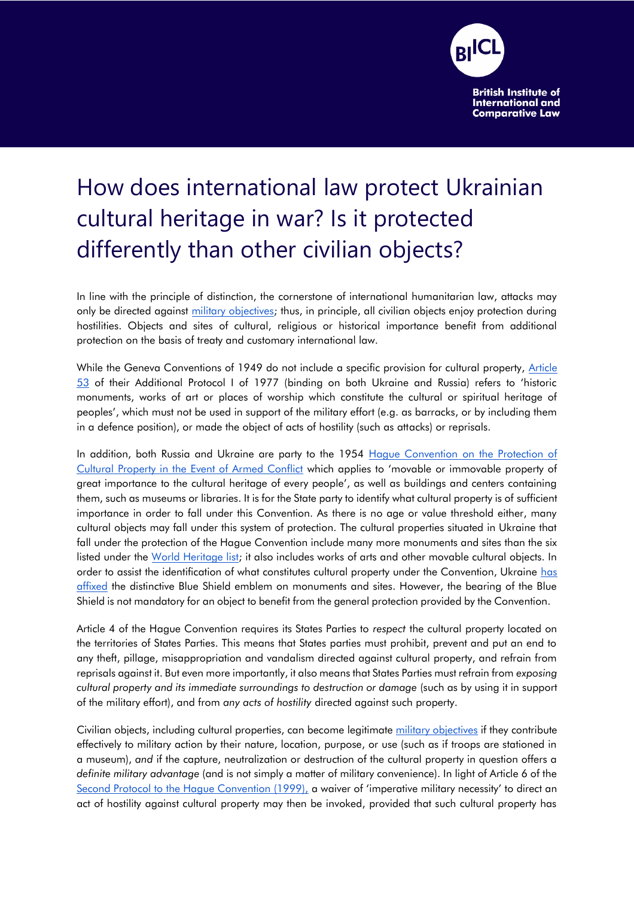

## How does international law protect Ukrainian cultural heritage in war? Is it protected differently than other civilian objects?

In line with the principle of distinction, the cornerstone of international humanitarian law, attacks may only be directed against [military objectives;](https://ihl-databases.icrc.org/applic/ihl/ihl.nsf/4e473c7bc8854f2ec12563f60039c738/f08a9bc78ae360b3c12563cd0051dcd4) thus, in principle, all civilian objects enjoy protection during hostilities. Objects and sites of cultural, religious or historical importance benefit from additional protection on the basis of treaty and customary international law.

While the Geneva Conventions of 1949 do not include a specific provision for cultural property, [Article](https://ihl-databases.icrc.org/applic/ihl/ihl.nsf/Article.xsp?action=openDocument&documentId=D76C3391F1A412C5C12563CD0051DCEB)  [53](https://ihl-databases.icrc.org/applic/ihl/ihl.nsf/Article.xsp?action=openDocument&documentId=D76C3391F1A412C5C12563CD0051DCEB) of their Additional Protocol I of 1977 (binding on both Ukraine and Russia) refers to 'historic monuments, works of art or places of worship which constitute the cultural or spiritual heritage of peoples', which must not be used in support of the military effort (e.g. as barracks, or by including them in a defence position), or made the object of acts of hostility (such as attacks) or reprisals.

In addition, both Russia and Ukraine are party to the 1954 [Hague Convention on the Protection of](https://en.unesco.org/sites/default/files/1954_Convention_EN_2020.pdf)  [Cultural Property in the Event of Armed Conflict](https://en.unesco.org/sites/default/files/1954_Convention_EN_2020.pdf) which applies to 'movable or immovable property of great importance to the cultural heritage of every people', as well as buildings and centers containing them, such as museums or libraries. It is for the State party to identify what cultural property is of sufficient importance in order to fall under this Convention. As there is no age or value threshold either, many cultural objects may fall under this system of protection. The cultural properties situated in Ukraine that fall under the protection of the Hague Convention include many more monuments and sites than the six listed under the [World Heritage list;](https://whc.unesco.org/en/statesparties/ua) it also includes works of arts and other movable cultural objects. In order to assist the identification of what constitutes cultural property under the Convention, Ukraine has **[affixed](https://www.reuters.com/article/us-ukraine-crisis-unesco/u-n-cultural-agency-moves-to-protect-ukraines-heritage-sites-idUSKBN2L52EM) the distinctive Blue Shield emblem on monuments and sites. However, the bearing of the Blue** Shield is not mandatory for an object to benefit from the general protection provided by the Convention.

Article 4 of the Hague Convention requires its States Parties to *respect* the cultural property located on the territories of States Parties. This means that States parties must prohibit, prevent and put an end to any theft, pillage, misappropriation and vandalism directed against cultural property, and refrain from reprisals against it. But even more importantly, it also means that States Parties must refrain from *exposing cultural property and its immediate surroundings to destruction or damage* (such as by using it in support of the military effort), and from *any acts of hostility* directed against such property.

Civilian objects, including cultural properties, can become legitimate [military objectives](https://ihl-databases.icrc.org/applic/ihl/ihl.nsf/4e473c7bc8854f2ec12563f60039c738/f08a9bc78ae360b3c12563cd0051dcd4) if they contribute effectively to military action by their nature, location, purpose, or use (such as if troops are stationed in a museum), *and* if the capture, neutralization or destruction of the cultural property in question offers a *definite military advantage* (and is not simply a matter of military convenience). In light of Article 6 of th[e](http://portal.unesco.org/en/ev.php-URL_ID=15207&URL_DO=DO_TOPIC&URL_SECTION=201.html) [Second Protocol to the Hague Convention \(1999\),](http://portal.unesco.org/en/ev.php-URL_ID=15207&URL_DO=DO_TOPIC&URL_SECTION=201.html) a waiver of 'imperative military necessity' to direct an act of hostility against cultural property may then be invoked, provided that such cultural property has